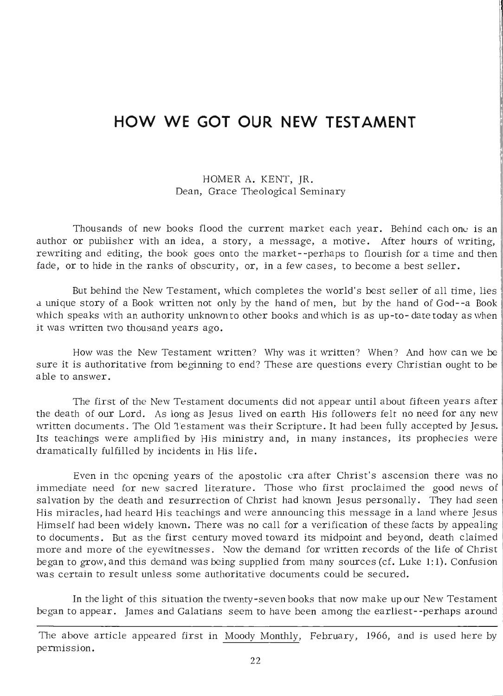## **HOW WE GOT OUR NEW TESTAMENT**

## HOMER A. KENT, JR. Dean, Grace Theological Seminary

Thousands of new books flood the current market each year. Behind each one is an author or publisher with an idea, a story, a message, a motive. After hours of writing, rewriting and editing, the book goes onto the market--perhaps to flourish for a time and then fade, or to hide in the ranks of obscurity, or, in a few cases, to become a best seller.

But behind the New Testament, which completes the world's best seller of all time, lies a unique story of a Book written not only by the hand of men, but by the hand of God--a Book which speaks with an authority unknown to other books and which is as up-to- date today as when it was written two thousand years ago.

How was the New Testament written? Why was it written? When? And how can we be sure it is authoritative from beginning to end? These are questions every Christian ought to be a ble to answer.

The first of the New Testament documents did not appear until about fifteen years after the death of our Lord. As long as Jesus lived on earth His followers felt no need for any new written documents. The Old Testament was their Scripture. It had been fully accepted by Jesus. Its teachings were amplified by His ministry and, in many instances, its prophecies were dramatically fulfilled by incidents in His life.

Even in the opening years of the apostolic era after Christ's ascension there was no immediate need for new sacred literature. Those who first proclaimed the good news of salvation by the death and resurrection of Christ had known Jesus personally. They had seen His miracles, had heard His teachings and were announcing this message in a land where Jesus Himself had been widely known. There was no call for a verification of these facts by appealing to documents. But as the first century moved toward its midpoint and beyond, death claimed more and more of the eyewitnesses. Now the demand for written records of the life of Christ began to grow, and this demand was being supplied from many sources (cf. Luke 1:1). Confusion was certain to result unless some authoritative documents could be secured.

In the light of this situation the twenty-seven books that now make up our New Testament began to appear. James and Galatians seem to have been among the earliest--perhaps around

The above article appeared first in Moody Monthly, February, 1966, and is used here by permission.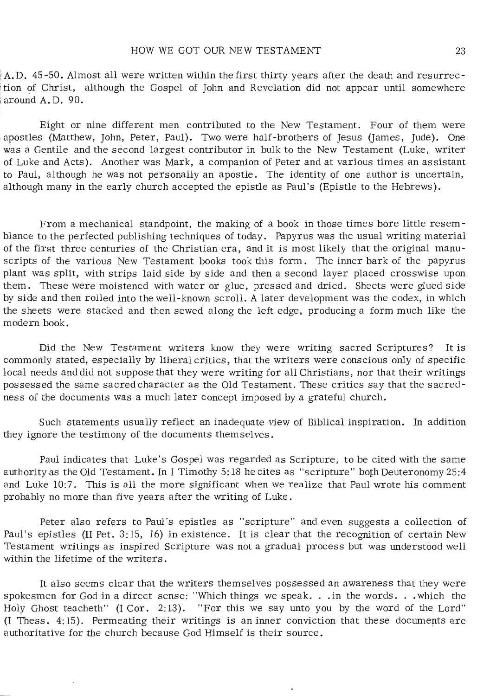$A, D$ , 45-50. Almost all were written within the first thirty years after the death and resurrection of Christ, although the Gospel of John and Revelation did not appear until somewhere around A. D. 90.

Eight or nine different men contributed to the New Testament. Four of them were apostles (Matthew, John, Peter, Paul). Two were half-brothers of Jesus (James, Jude). One was a Gentile and the second largest contributor in bulk to the New Testament (Luke, writer of Luke and Acts). Another was Mark, a companion of Peter and at various times an assistant to Paul, although he was not personally an apostle. The identity of one author is uncertain, although many in the early church accepted the epistle as Paul's (Epistle to the Hebrews).

From a mechanical standpoint, the making of a book in those times bore little resemblance to the perfected publishing techniques of today. Papyrus was the usual writing material of the first three centuries of the Christian era, and it is most likely that the original manuscripts of the various New Testament books took this form. The inner bark of the papyrus plant was split, with strips laid side by side and then a second layer placed crosswise upon them. These were moistened with water or glue, pressed and dried. Sheets were glued side by side and then rolled into the well-known scroll. A later development was the codex, in which the sheets were stacked and then sewed along the left edge, producing a form much like the modern book.

Did the New Testament writers know they were writing sacred Scriptures? It is commonly stated, especially by liberal critics, that the writers were conscious only of specific local needs and did not suppose that they were writing for all Christians, nor that their writings possessed the same sacred character as the Old Testament. These critics say that the sacredness of the documents was a much later concept imposed by a grateful church.

Such statements usually reflect an inadequate view of Biblical inspiration. In addition they ignore the testimony of the documents themselves.

Paul indicates that Luke's Gospel was regarded as Scripture, to be cited with the same authority as the Old Testament. In I Timothy 5: 18 he cites as "scripture" borh Deuteronomy 25:4 and Luke 10:7. This is all the more significant when we realize that Paul wrote his comment probably no more than five years after the writing of Luke.

Peter also refers to Paul's epistles as "scripture" and even suggests a collection of Paul's epistles (II Pet. 3: 15, 16) in existence. It is clear that the recognition of certain New Testament writings as inspired Scripture was not a gradual process but was understood well within the lifetime of the writers.

It also seems clear that the writers themselves possessed an awareness that they were spokesmen for God in a direct sense: "Which things we speak. . . in the words. . . which the Holy Ghost teacheth" (I Cor. 2:13). "For this we say unto you by the word of the Lord" (I Thess. 4: 15). Permeating their writings is an inner conviction that these documents are authoritative for the church because God Himself is their source.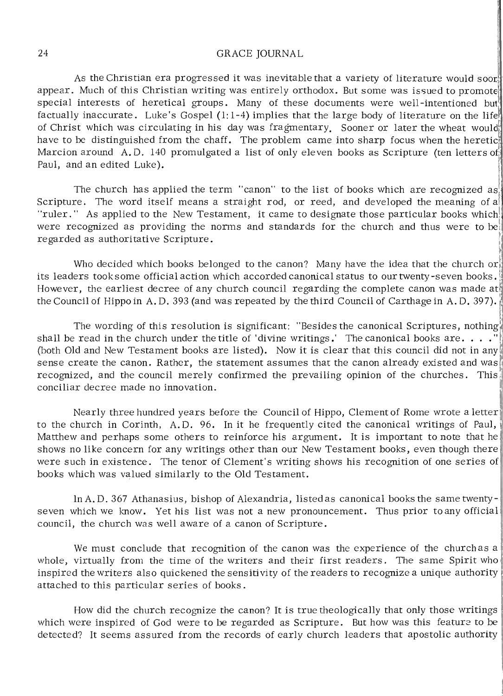## 24 GRACE JOURNAL

As the Christian era progressed it was inevitable that a variety of literature would soor. appear. Much of this Christian writing was entirely orthodox. But some was issued to promote special interests of heretical groups. Many of these documents were well-intentioned but factually inaccurate. Luke's Gospel (1:1-4) implies that the large body of literature on the life of Christ which was circulating in his day was fragmentary. Sooner or later the wheat would have to be distinguished from the chaff. The problem came into sharp focus when the heretic Marcion around A.D. 140 promulgated a list of only eleven books as Scripture (ten letters of Paul, and an edited Luke).

The church has applied the term "canon" to the list of books which are recognized as Scripture. The word itself means a straight rod, or reed, and developed the meaning of a "ruler." As applied to the New Testament, it came to designate those particular books which! were recognized as providing the norms and standards for the church and thus were to be regarded as authoritative Scripture.

Who decided which books belonged to the canon? Many have the idea that the church or its leaders took some official action which accorded canonical status to our twenty-seven books. However, the earliest decree of any church council regarding the complete canon was made at the Council of Hippo in A.D. 393 (and was repeated by the third Council of Carthage in A.D. 397).

~

The wording of this resolution is significant: "Besides the canonical Scriptures, nothing shall be read in the church under the title of 'divine writings.' The canonical books are...." (both Old and New Testament books are listed). Now it is clear that this council did not in any sense create the canon. Rather, the statement assumes that the canon already existed and was recognized, and the council merely confirmed the prevailing opinion of the churches. This conciliar decree made no innovation.

Nearly three hundred years before the Council of Hippo, Clement of Rome wrote a letter to the church in Corinth, A.D. 96. In it he frequently cited the canonical writings of Paul, Matthew and perhaps some others to reinforce his argument. It is important to note that he shows no like concern for any writings other than our New Testament books, even though there were such in existence. The tenor of Clement's writing shows his recognition of one series of books which was valued similarly to the Old Testament.

In A. D. 367 Athanasius, bishop of Alexandria, listedas canonical books the same twentyseven which we know. Yet his list was not a new pronouncement. Thus prior to any official council, the church was well aware of a canon of Scripture.

We must conclude that recognition of the canon was the experience of the church as a whole, virtually from the time of the writers and their first readers. The same Spirit who inspired the writers also quickened the sensitivity of the readers to recognize a unique authority attached to this particular series of books.

How did the church recognize the canon? It is true theologically that only those writings which were inspired of God were to be regarded as Scripture. But how was this feature to be detected? It seems assured from the records of early church leaders that apostolic authority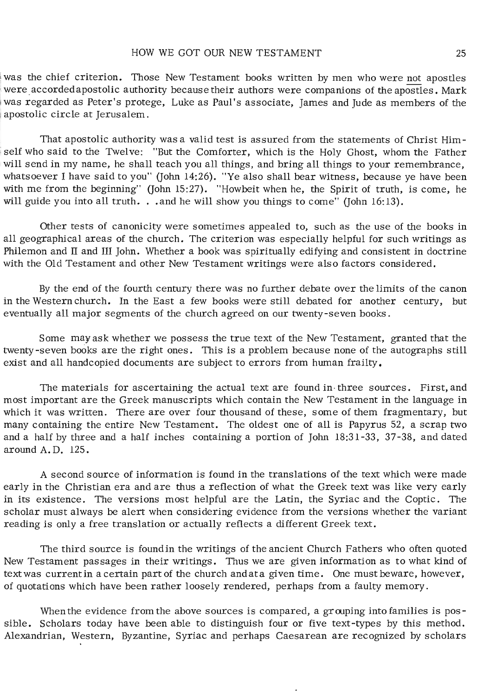was the chief criterion. Those New Testament books written by men who were not apostles were accordedapostolic authority because their authors were companions of the apostles. Mark was regarded as Peter's protege, Luke as Paul's associate, James and Jude as members of the apostolic circle at Jerusalem.

That apostolic authority was a valid test is assured from the statements of Christ Himself who said to the Twelve: "But the Comforter, which is the Holy Ghost, whom the Father will send in my name, he shall teach you all things, and bring all things to your remembrance, whatsoever I have said to you" (John 14:26). "Ye also shall bear witness, because ye have been with me from the beginning" (John 15:27). "Howbeit when he, the Spirit of truth, is come, he will guide you into all truth. . . and he will show you things to come" (John 16:13).

Other tests of canonicity were sometimes appealed to, such as the use of the books in all geographical areas of the church. The criterion was especially helpful for such writings as Philemon and  $\Pi$  and  $\Pi$  John. Whether a book was spiritually edifying and consistent in doctrine with the Old Testament and other New Testament writings were also factors considered.

By the end of the fourth century there was no further debate over the limits of the canon in the Western church. In the East a few books were still debated for another century, but eventually all major segments of the church agreed on our twenty-seven books.

Some may ask whether we possess the true text of the New Testament, granted that the twenty-seven books are the right ones. This is a problem because none of the autographs still exist and all handcopied documents are subject to errors from human frailty.

The materials for ascertaining the actual text are found in three sources. First, and most important are the Greek manuscripts which contain the New Testament in the language in which it was written. There are over four thousand of these, some of them fragmentary, but many containing the entire New Testament. The oldest one of all is Papyrus 52, a scrap two and a half by three and a half inches containing a portion of John 18:31-33, 37-38, and dated around A. D. 125.

A second source of information is found in the translations of the text which were made early in the Christian era and are thus a reflection of what the Greek text was like very early in its existence. The versions most helpful are the Latin, the Syriac and the Coptic. The scholar must always be alert when considering evidence from the versions whether the variant reading is only a free translation or actually reflects a different Greek text.

The third source is foundin the writings of the ancient Church Fathers who often quoted New Testament passages in their writings. Thus we are given information as to what kind of text was current in a certain part of the church andata given time. One must beware, however, of quotations which have been rather loosely rendered, perhaps from a faulty memory.

When the evidence from the above sources is compared, a grouping into families is  $pos$ sible. Scholars today have been able to distinguish four or five text-types by this method. Alexandrian, Western, Byzantine, Syriac and perhaps Caesarean are recognized by scholars